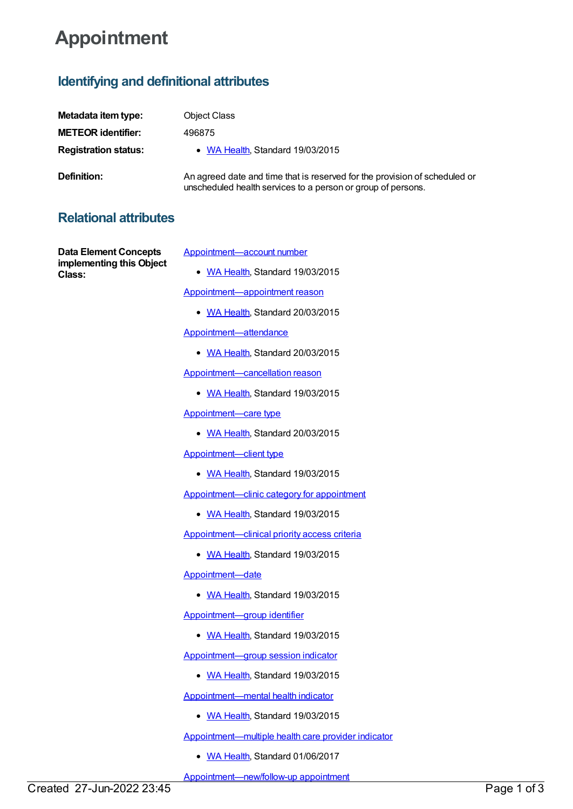## **Appointment**

## **Identifying and definitional attributes**

| Metadata item type:         | <b>Object Class</b>                                                                                                                        |
|-----------------------------|--------------------------------------------------------------------------------------------------------------------------------------------|
| <b>METEOR identifier:</b>   | 496875                                                                                                                                     |
| <b>Registration status:</b> | • WA Health, Standard 19/03/2015                                                                                                           |
| <b>Definition:</b>          | An agreed date and time that is reserved for the provision of scheduled or<br>unscheduled health services to a person or group of persons. |

## **Relational attributes**

**Data Element Concepts implementing this Object Class:**

[Appointment—account](https://meteor.aihw.gov.au/content/503369) number

• WA [Health](https://meteor.aihw.gov.au/RegistrationAuthority/2), Standard 19/03/2015

[Appointment—appointment](https://meteor.aihw.gov.au/content/562896) reason

• WA [Health](https://meteor.aihw.gov.au/RegistrationAuthority/2), Standard 20/03/2015

[Appointment—attendance](https://meteor.aihw.gov.au/content/510108)

• WA [Health](https://meteor.aihw.gov.au/RegistrationAuthority/2), Standard 20/03/2015

[Appointment—cancellation](https://meteor.aihw.gov.au/content/554596) reason

• WA [Health](https://meteor.aihw.gov.au/RegistrationAuthority/2), Standard 19/03/2015

[Appointment—care](https://meteor.aihw.gov.au/content/497417) type

• WA [Health](https://meteor.aihw.gov.au/RegistrationAuthority/2), Standard 20/03/2015

[Appointment—client](https://meteor.aihw.gov.au/content/554796) type

• WA [Health](https://meteor.aihw.gov.au/RegistrationAuthority/2), Standard 19/03/2015

[Appointment—clinic](https://meteor.aihw.gov.au/content/498054) category for appointment

• WA [Health](https://meteor.aihw.gov.au/RegistrationAuthority/2), Standard 19/03/2015

[Appointment—clinical](https://meteor.aihw.gov.au/content/561436) priority access criteria

• WA [Health](https://meteor.aihw.gov.au/RegistrationAuthority/2), Standard 19/03/2015

[Appointment—date](https://meteor.aihw.gov.au/content/496915)

• WA [Health](https://meteor.aihw.gov.au/RegistrationAuthority/2), Standard 19/03/2015

[Appointment—group](https://meteor.aihw.gov.au/content/497655) identifier

• WA [Health](https://meteor.aihw.gov.au/RegistrationAuthority/2), Standard 19/03/2015

[Appointment—group](https://meteor.aihw.gov.au/content/571111) session indicator

• WA [Health](https://meteor.aihw.gov.au/RegistrationAuthority/2), Standard 19/03/2015

[Appointment—mental](https://meteor.aihw.gov.au/content/497281) health indicator

• WA [Health](https://meteor.aihw.gov.au/RegistrationAuthority/2), Standard 19/03/2015

[Appointment—multiple](https://meteor.aihw.gov.au/content/643163) health care provider indicator

• WA [Health](https://meteor.aihw.gov.au/RegistrationAuthority/2), Standard 01/06/2017

[Appointment—new/follow-up](https://meteor.aihw.gov.au/content/497384) appointment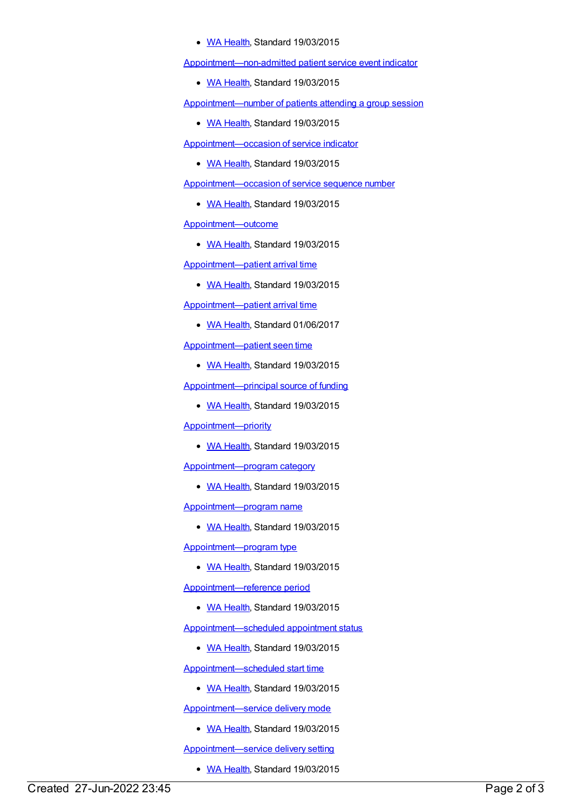• WA [Health](https://meteor.aihw.gov.au/RegistrationAuthority/2), Standard 19/03/2015

[Appointment—non-admitted](https://meteor.aihw.gov.au/content/572539) patient service event indicator

• WA [Health](https://meteor.aihw.gov.au/RegistrationAuthority/2), Standard 19/03/2015

[Appointment—number](https://meteor.aihw.gov.au/content/562313) of patients attending a group session

• WA [Health](https://meteor.aihw.gov.au/RegistrationAuthority/2), Standard 19/03/2015

[Appointment—occasion](https://meteor.aihw.gov.au/content/562737) of service indicator

• WA [Health](https://meteor.aihw.gov.au/RegistrationAuthority/2), Standard 19/03/2015

[Appointment—occasion](https://meteor.aihw.gov.au/content/572492) of service sequence number

• WA [Health](https://meteor.aihw.gov.au/RegistrationAuthority/2), Standard 19/03/2015

[Appointment—outcome](https://meteor.aihw.gov.au/content/509379)

• WA [Health](https://meteor.aihw.gov.au/RegistrationAuthority/2), Standard 19/03/2015

[Appointment—patient](https://meteor.aihw.gov.au/content/503222) arrival time

• WA [Health](https://meteor.aihw.gov.au/RegistrationAuthority/2), Standard 19/03/2015

[Appointment—patient](https://meteor.aihw.gov.au/content/663427) arrival time

• WA [Health](https://meteor.aihw.gov.au/RegistrationAuthority/2), Standard 01/06/2017

[Appointment—patient](https://meteor.aihw.gov.au/content/503228) seen time

• WA [Health](https://meteor.aihw.gov.au/RegistrationAuthority/2), Standard 19/03/2015

[Appointment—principal](https://meteor.aihw.gov.au/content/500499) source of funding

• WA [Health](https://meteor.aihw.gov.au/RegistrationAuthority/2), Standard 19/03/2015

[Appointment—priority](https://meteor.aihw.gov.au/content/509392)

• WA [Health](https://meteor.aihw.gov.au/RegistrationAuthority/2), Standard 19/03/2015

[Appointment—program](https://meteor.aihw.gov.au/content/572247) category

• WA [Health](https://meteor.aihw.gov.au/RegistrationAuthority/2), Standard 19/03/2015

[Appointment—program](https://meteor.aihw.gov.au/content/572259) name

• WA [Health](https://meteor.aihw.gov.au/RegistrationAuthority/2), Standard 19/03/2015

[Appointment—program](https://meteor.aihw.gov.au/content/558530) type

• WA [Health](https://meteor.aihw.gov.au/RegistrationAuthority/2), Standard 19/03/2015

[Appointment—reference](https://meteor.aihw.gov.au/content/563255) period

• WA [Health](https://meteor.aihw.gov.au/RegistrationAuthority/2), Standard 19/03/2015

[Appointment—scheduled](https://meteor.aihw.gov.au/content/496968) appointment status

• WA [Health](https://meteor.aihw.gov.au/RegistrationAuthority/2), Standard 19/03/2015

[Appointment—scheduled](https://meteor.aihw.gov.au/content/503199) start time

• WA [Health](https://meteor.aihw.gov.au/RegistrationAuthority/2), Standard 19/03/2015

[Appointment—service](https://meteor.aihw.gov.au/content/558973) delivery mode

• WA [Health](https://meteor.aihw.gov.au/RegistrationAuthority/2), Standard 19/03/2015

[Appointment—service](https://meteor.aihw.gov.au/content/497291) delivery setting

• WA [Health](https://meteor.aihw.gov.au/RegistrationAuthority/2), Standard 19/03/2015